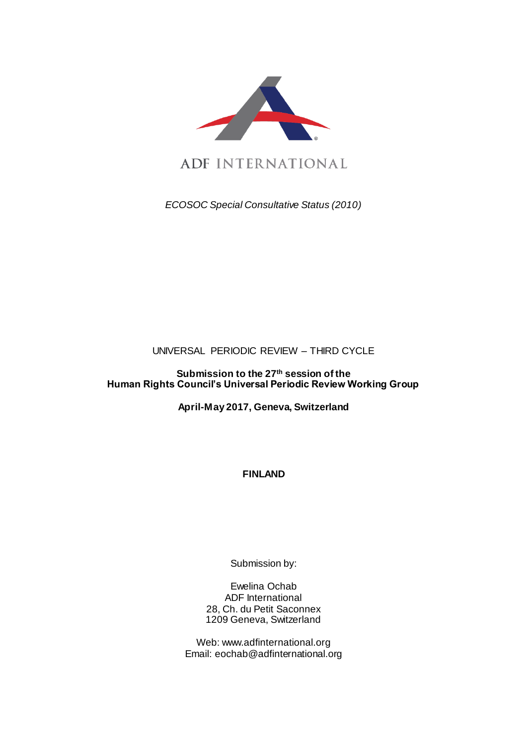

ADF INTERNATIONAL

*ECOSOC Special Consultative Status (2010)*

# UNIVERSAL PERIODIC REVIEW – THIRD CYCLE

# **Submission to the 27th session of the Human Rights Council's Universal Periodic Review Working Group**

**April-May 2017, Geneva, Switzerland**

**FINLAND** 

Submission by:

Ewelina Ochab ADF International 28, Ch. du Petit Saconnex 1209 Geneva, Switzerland

Web: www.adfinternational.org Email: eochab@adfinternational.org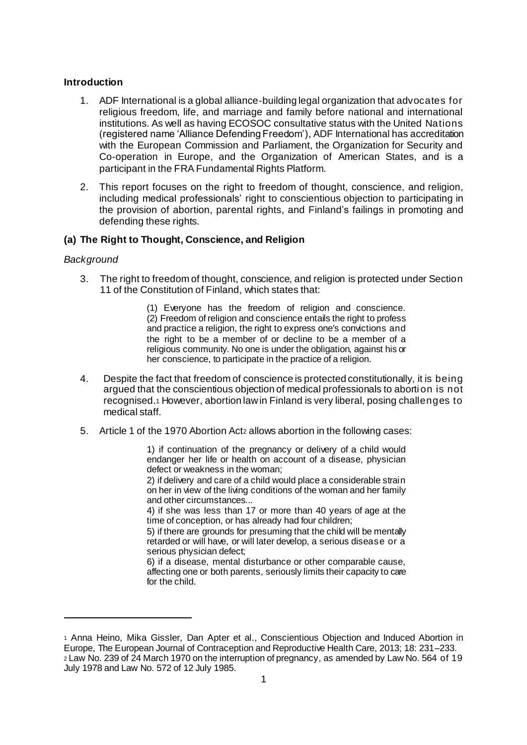### **Introduction**

- 1. ADF International is a global alliance-building legal organization that advocates for religious freedom, life, and marriage and family before national and international institutions. As well as having ECOSOC consultative status with the United Nations (registered name 'Alliance Defending Freedom'), ADF International has accreditation with the European Commission and Parliament, the Organization for Security and Co-operation in Europe, and the Organization of American States, and is a participant in the FRA Fundamental Rights Platform.
- 2. This report focuses on the right to freedom of thought, conscience, and religion, including medical professionals' right to conscientious objection to participating in the provision of abortion, parental rights, and Finland's failings in promoting and defending these rights.

## **(a) The Right to Thought, Conscience, and Religion**

### *Background*

l

3. The right to freedom of thought, conscience, and religion is protected under Section 11 of the Constitution of Finland, which states that:

> (1) Everyone has the freedom of religion and conscience. (2) Freedom of religion and conscience entails the right to profess and practice a religion, the right to express one's convictions and the right to be a member of or decline to be a member of a religious community. No one is under the obligation, against his or her conscience, to participate in the practice of a religion.

- 4. Despite the fact that freedom of conscience is protected constitutionally, it is being argued that the conscientious objection of medical professionals to aborti on is not recognised.<sup>1</sup> However, abortion law in Finland is very liberal, posing challenges to medical staff.
- 5. Article 1 of the 1970 Abortion Act<sup>2</sup> allows abortion in the following cases:

1) if continuation of the pregnancy or delivery of a child would endanger her life or health on account of a disease, physician defect or weakness in the woman;

2) if delivery and care of a child would place a considerable strain on her in view of the living conditions of the woman and her family and other circumstances...

4) if she was less than 17 or more than 40 years of age at the time of conception, or has already had four children;

5) if there are grounds for presuming that the child will be mentally retarded or will have, or will later develop, a serious disease or a serious physician defect;

6) if a disease, mental disturbance or other comparable cause, affecting one or both parents, seriously limits their capacity to care for the child.

<sup>1</sup> Anna Heino, Mika Gissler, Dan Apter et al., Conscientious Objection and Induced Abortion in Europe, The European Journal of Contraception and Reproductive Health Care, 2013; 18: 231–233. <sup>2</sup> Law No. 239 of 24 March 1970 on the interruption of pregnancy, as amended by Law No. 564 of 19 July 1978 and Law No. 572 of 12 July 1985.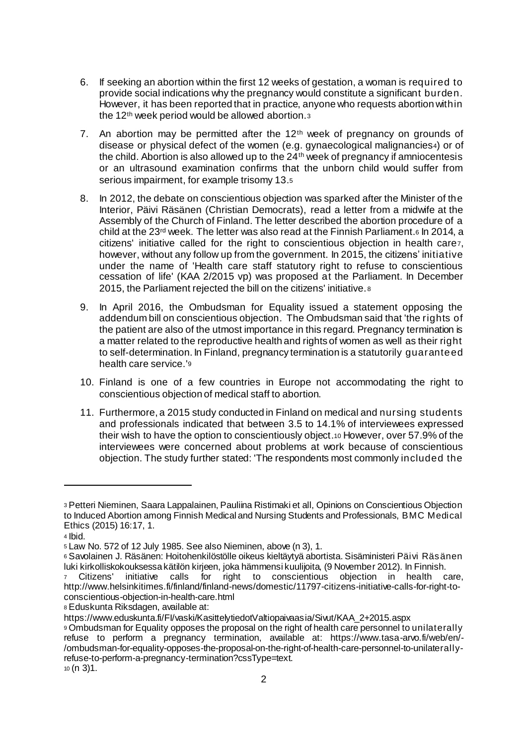- 6. If seeking an abortion within the first 12 weeks of gestation, a woman is required to provide social indications why the pregnancy would constitute a significant burden. However, it has been reported that in practice, anyone who requests abortion within the 12th week period would be allowed abortion.<sup>3</sup>
- 7. An abortion may be permitted after the  $12<sup>th</sup>$  week of pregnancy on grounds of disease or physical defect of the women (e.g. gynaecological malignancies4) or of the child. Abortion is also allowed up to the 24th week of pregnancy if amniocentesis or an ultrasound examination confirms that the unborn child would suffer from serious impairment, for example trisomy 13.<sup>5</sup>
- 8. In 2012, the debate on conscientious objection was sparked after the Minister of the Interior, Päivi Räsänen (Christian Democrats), read a letter from a midwife at the Assembly of the Church of Finland. The letter described the abortion procedure of a child at the 23rd week. The letter was also read at the Finnish Parliament.<sup>6</sup> In 2014, a citizens' initiative called for the right to conscientious objection in health care7, however, without any follow up from the government. In 2015, the citizens' initiative under the name of 'Health care staff statutory right to refuse to conscientious cessation of life' (KAA 2/2015 vp) was proposed at the Parliament. In December 2015, the Parliament rejected the bill on the citizens' initiative. <sup>8</sup>
- 9. In April 2016, the Ombudsman for Equality issued a statement opposing the addendum bill on conscientious objection. The Ombudsman said that 'the rights of the patient are also of the utmost importance in this regard. Pregnancy termination is a matter related to the reproductive health and rights of women as well as their right to self-determination. In Finland, pregnancy termination is a statutorily guaranteed health care service.'<sup>9</sup>
- 10. Finland is one of a few countries in Europe not accommodating the right to conscientious objection of medical staff to abortion.
- 11. Furthermore, a 2015 study conducted in Finland on medical and nursing students and professionals indicated that between 3.5 to 14.1% of interviewees expressed their wish to have the option to conscientiously object.<sup>10</sup> However, over 57.9% of the interviewees were concerned about problems at work because of conscientious objection. The study further stated: 'The respondents most commonly included the

l

<sup>3</sup> Petteri Nieminen, Saara Lappalainen, Pauliina Ristimaki et all, Opinions on Conscientious Objection to Induced Abortion among Finnish Medical and Nursing Students and Professionals, BMC Medical Ethics (2015) 16:17, 1.

<sup>4</sup> Ibid.

<sup>5</sup> Law No. 572 of 12 July 1985. See also Nieminen, above (n 3), 1.

<sup>6</sup> Savolainen J. Räsänen: Hoitohenkilöstölle oikeus kieltäytyä abortista. Sisäministeri Päivi Räsänen luki kirkolliskokouksessa kätilön kirjeen, joka hämmensi kuulijoita, (9 November 2012). In Finnish.

<sup>7</sup> Citizens' initiative calls for right to conscientious objection in health care, http://www.helsinkitimes.fi/finland/finland-news/domestic/11797-citizens-initiative-calls-for-right-toconscientious-objection-in-health-care.html

<sup>8</sup> Eduskunta Riksdagen, available at:

https://www.eduskunta.fi/FI/vaski/KasittelytiedotValtiopaivaasia/Sivut/KAA\_2+2015.aspx

<sup>9</sup> Ombudsman for Equality opposes the proposal on the right of health care personnel to unilaterally refuse to perform a pregnancy termination, available at: https://www.tasa-arvo.fi/web/en/- /ombudsman-for-equality-opposes-the-proposal-on-the-right-of-health-care-personnel-to-unilaterallyrefuse-to-perform-a-pregnancy-termination?cssType=text. <sup>10</sup> (n 3)1.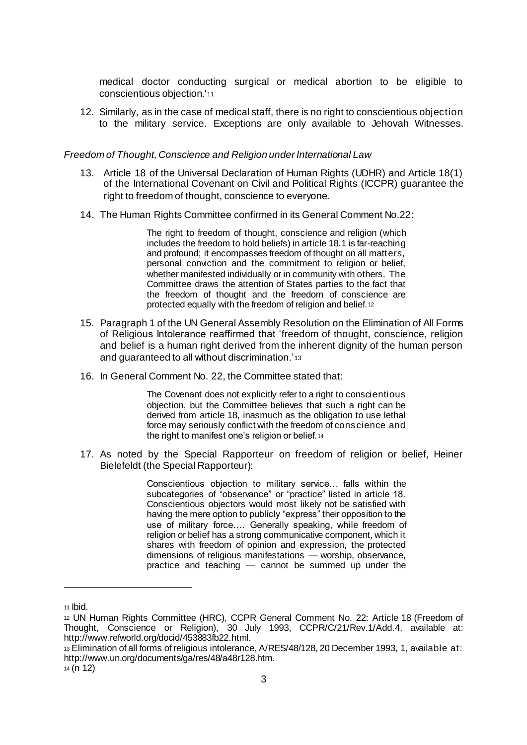medical doctor conducting surgical or medical abortion to be eligible to conscientious objection.'<sup>11</sup>

12. Similarly, as in the case of medical staff, there is no right to conscientious objection to the military service. Exceptions are only available to Jehovah Witnesses.

## *Freedom of Thought, Conscience and Religion under International Law*

- 13. Article 18 of the Universal Declaration of Human Rights (UDHR) and Article 18(1) of the International Covenant on Civil and Political Rights (ICCPR) guarantee the right to freedom of thought, conscience to everyone.
- 14. The Human Rights Committee confirmed in its General Comment No.22:

The right to freedom of thought, conscience and religion (which includes the freedom to hold beliefs) in article 18.1 is far-reaching and profound; it encompasses freedom of thought on all matters, personal conviction and the commitment to religion or belief, whether manifested individually or in community with others. The Committee draws the attention of States parties to the fact that the freedom of thought and the freedom of conscience are protected equally with the freedom of religion and belief.<sup>12</sup>

- 15. Paragraph 1 of the UN General Assembly Resolution on the Elimination of All Forms of Religious Intolerance reaffirmed that 'freedom of thought, conscience, religion and belief is a human right derived from the inherent dignity of the human person and guaranteed to all without discrimination.'<sup>13</sup>
- 16. In General Comment No. 22, the Committee stated that:

The Covenant does not explicitly refer to a right to conscientious objection, but the Committee believes that such a right can be derived from article 18, inasmuch as the obligation to use lethal force may seriously conflict with the freedom of conscience and the right to manifest one's religion or belief. 14

17. As noted by the Special Rapporteur on freedom of religion or belief, Heiner Bielefeldt (the Special Rapporteur):

> Conscientious objection to military service… falls within the subcategories of "observance" or "practice" listed in article 18. Conscientious objectors would most likely not be satisfied with having the mere option to publicly "express" their opposition to the use of military force…. Generally speaking, while freedom of religion or belief has a strong communicative component, which it shares with freedom of opinion and expression, the protected dimensions of religious manifestations — worship, observance, practice and teaching — cannot be summed up under the

 $\overline{a}$ 

<sup>11</sup> Ibid.

<sup>12</sup> UN Human Rights Committee (HRC), CCPR General Comment No. 22: Article 18 (Freedom of Thought, Conscience or Religion), 30 July 1993, CCPR/C/21/Rev.1/Add.4, available at: http://www.refworld.org/docid/453883fb22.html.

<sup>13</sup> Elimination of all forms of religious intolerance, A/RES/48/128, 20 December 1993, 1, available at: http://www.un.org/documents/ga/res/48/a48r128.htm.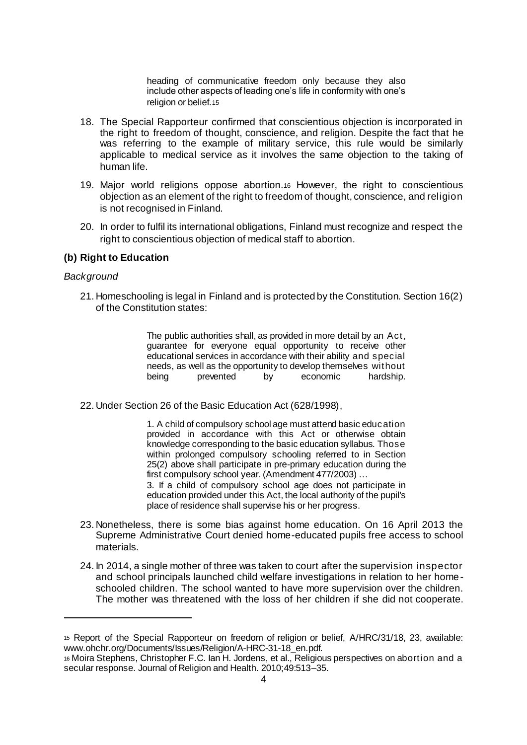heading of communicative freedom only because they also include other aspects of leading one's life in conformity with one's religion or belief.<sup>15</sup>

- 18. The Special Rapporteur confirmed that conscientious objection is incorporated in the right to freedom of thought, conscience, and religion. Despite the fact that he was referring to the example of military service, this rule would be similarly applicable to medical service as it involves the same objection to the taking of human life.
- 19. Major world religions oppose abortion.<sup>16</sup> However, the right to conscientious objection as an element of the right to freedom of thought, conscience, and religion is not recognised in Finland.
- 20. In order to fulfil its international obligations, Finland must recognize and respect the right to conscientious objection of medical staff to abortion.

#### **(b) Right to Education**

#### *Background*

l

21. Homeschooling is legal in Finland and is protected by the Constitution. Section 16(2) of the Constitution states:

> The public authorities shall, as provided in more detail by an Act, guarantee for everyone equal opportunity to receive other educational services in accordance with their ability and special needs, as well as the opportunity to develop themselves without being prevented by economic hardship.

22. Under Section 26 of the Basic Education Act (628/1998),

1. A child of compulsory school age must attend basic education provided in accordance with this Act or otherwise obtain knowledge corresponding to the basic education syllabus. Those within prolonged compulsory schooling referred to in Section 25(2) above shall participate in pre-primary education during the first compulsory school year. (Amendment 477/2003) …

3. If a child of compulsory school age does not participate in education provided under this Act, the local authority of the pupil's place of residence shall supervise his or her progress.

- 23. Nonetheless, there is some bias against home education. On 16 April 2013 the Supreme Administrative Court denied home-educated pupils free access to school materials.
- 24. In 2014, a single mother of three was taken to court after the supervision inspector and school principals launched child welfare investigations in relation to her homeschooled children. The school wanted to have more supervision over the children. The mother was threatened with the loss of her children if she did not cooperate.

<sup>15</sup> Report of the Special Rapporteur on freedom of religion or belief, A/HRC/31/18, 23, available: www.ohchr.org/Documents/Issues/Religion/A-HRC-31-18\_en.pdf*.* 

<sup>16</sup> Moira Stephens, Christopher F.C. Ian H. Jordens, et al., Religious perspectives on abortion and a secular response. Journal of Religion and Health. 2010;49:513–35.